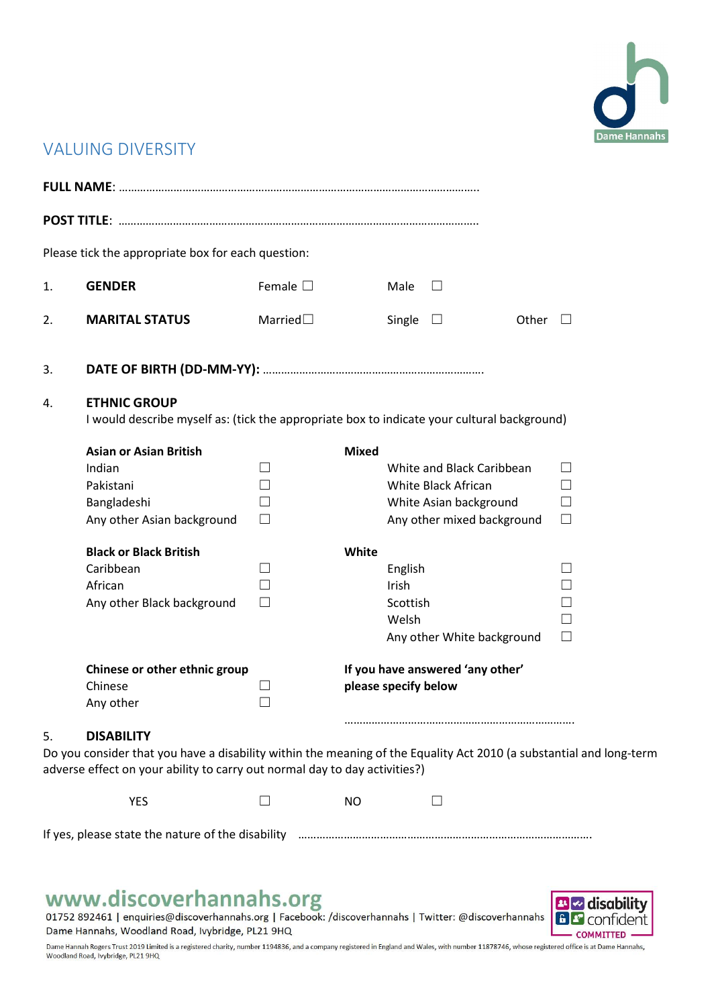

## VALUING DIVERSITY

|                                                                                                                                                                                                                              | Please tick the appropriate box for each question:                                                                 |                              |                      |                                       |                                                                                                          |       |                                                                    |  |
|------------------------------------------------------------------------------------------------------------------------------------------------------------------------------------------------------------------------------|--------------------------------------------------------------------------------------------------------------------|------------------------------|----------------------|---------------------------------------|----------------------------------------------------------------------------------------------------------|-------|--------------------------------------------------------------------|--|
| 1.                                                                                                                                                                                                                           | <b>GENDER</b>                                                                                                      | Female $\square$             |                      | Male                                  | $\vert \ \ \vert$                                                                                        |       |                                                                    |  |
| 2.                                                                                                                                                                                                                           | <b>MARITAL STATUS</b>                                                                                              | Married $\square$            |                      | Single                                | $\Box$                                                                                                   | Other | $\perp$                                                            |  |
| 3.                                                                                                                                                                                                                           |                                                                                                                    |                              |                      |                                       |                                                                                                          |       |                                                                    |  |
| 4.                                                                                                                                                                                                                           | <b>ETHNIC GROUP</b><br>I would describe myself as: (tick the appropriate box to indicate your cultural background) |                              |                      |                                       |                                                                                                          |       |                                                                    |  |
|                                                                                                                                                                                                                              | <b>Asian or Asian British</b><br>Indian<br>Pakistani<br>Bangladeshi<br>Any other Asian background                  | ×<br>$\mathcal{A}$<br>$\Box$ | <b>Mixed</b>         |                                       | White and Black Caribbean<br>White Black African<br>White Asian background<br>Any other mixed background |       | $\Box$<br>$\vert \ \ \vert$<br>$\Box$<br>$\Box$                    |  |
|                                                                                                                                                                                                                              | <b>Black or Black British</b><br>Caribbean<br>African<br>Any other Black background                                | $\vert \ \ \vert$            | White                | English<br>Irish<br>Scottish<br>Welsh | Any other White background                                                                               |       | $\vert \ \ \vert$<br>$\mathcal{L}$<br>$\mathcal{L}$<br>П<br>$\Box$ |  |
|                                                                                                                                                                                                                              | Chinese or other ethnic group<br>Chinese<br>Any other                                                              |                              | please specify below |                                       | If you have answered 'any other'                                                                         |       |                                                                    |  |
| <b>DISABILITY</b><br>5.<br>Do you consider that you have a disability within the meaning of the Equality Act 2010 (a substantial and long-term<br>adverse effect on your ability to carry out normal day to day activities?) |                                                                                                                    |                              |                      |                                       |                                                                                                          |       |                                                                    |  |
|                                                                                                                                                                                                                              | <b>YES</b>                                                                                                         |                              | <b>NO</b>            |                                       | $\Box$                                                                                                   |       |                                                                    |  |
|                                                                                                                                                                                                                              |                                                                                                                    |                              |                      |                                       |                                                                                                          |       |                                                                    |  |
|                                                                                                                                                                                                                              |                                                                                                                    |                              |                      |                                       |                                                                                                          |       |                                                                    |  |



Dame Hannah Rogers Trust 2019 Limited is a registered charity, number 1194836, and a company registered in England and Wales, with number 11878746, whose registered office is at Dame Hannahs, Woodland Road, Ivybridge, PL21 9HQ